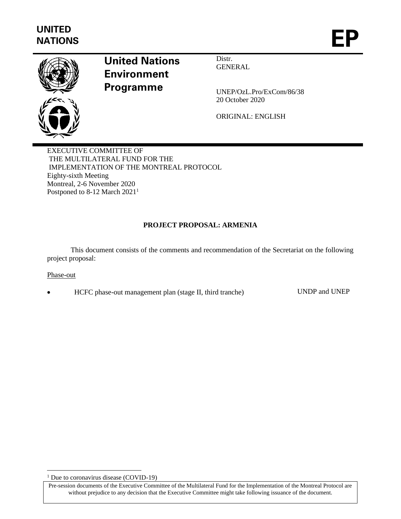

# **United Nations Environment Programme**

Distr. GENERAL

UNEP/OzL.Pro/ExCom/86/38 20 October 2020

ORIGINAL: ENGLISH

EXECUTIVE COMMITTEE OF THE MULTILATERAL FUND FOR THE IMPLEMENTATION OF THE MONTREAL PROTOCOL Eighty-sixth Meeting Montreal, 2-6 November 2020 Postponed to 8-12 March 2021<sup>1</sup>

# **PROJECT PROPOSAL: ARMENIA**

This document consists of the comments and recommendation of the Secretariat on the following project proposal:

## Phase-out

• HCFC phase-out management plan (stage II, third tranche) UNDP and UNEP

<sup>&</sup>lt;sup>1</sup> Due to coronavirus disease (COVID-19)

Pre-session documents of the Executive Committee of the Multilateral Fund for the Implementation of the Montreal Protocol are without prejudice to any decision that the Executive Committee might take following issuance of the document.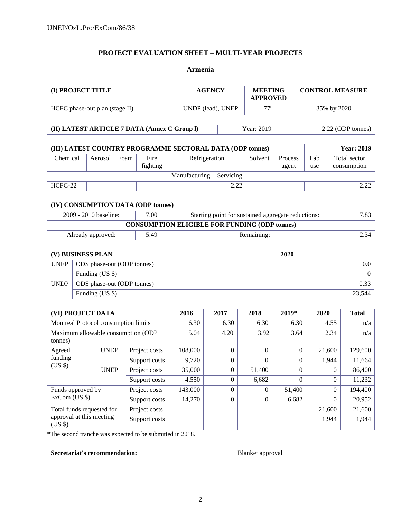# **PROJECT EVALUATION SHEET – MULTI-YEAR PROJECTS**

#### **Armenia**

| (I) PROJECT TITLE              | <b>AGENCY</b>     | <b>MEETING</b><br><b>APPROVED</b> | <b>CONTROL MEASURE</b> |
|--------------------------------|-------------------|-----------------------------------|------------------------|
| HCFC phase-out plan (stage II) | UNDP (lead), UNEP | 77th                              | 35% by 2020            |

**(II) LATEST ARTICLE 7 DATA (Annex C Group l)** Year: 2019 2.22 (ODP tonnes)

| (III) LATEST COUNTRY PROGRAMME SECTORAL DATA (ODP tonnes) |         |               |                  |               |      |         |                  |            | <b>Year: 2019</b>           |
|-----------------------------------------------------------|---------|---------------|------------------|---------------|------|---------|------------------|------------|-----------------------------|
| Chemical                                                  | Aerosol | Foam          | Fire<br>fighting | Refrigeration |      | Solvent | Process<br>agent | Lab<br>use | Total sector<br>consumption |
|                                                           |         | Manufacturing | Servicing        |               |      |         |                  |            |                             |
| HCFC-22                                                   |         |               |                  |               | 2.22 |         |                  |            | 2.22                        |

| (IV) CONSUMPTION DATA (ODP tonnes)                                                    |      |            |      |  |  |  |  |  |
|---------------------------------------------------------------------------------------|------|------------|------|--|--|--|--|--|
| 7.00<br>$2009 - 2010$ baseline:<br>Starting point for sustained aggregate reductions: |      |            |      |  |  |  |  |  |
| <b>CONSUMPTION ELIGIBLE FOR FUNDING (ODP tonnes)</b>                                  |      |            |      |  |  |  |  |  |
| Already approved:                                                                     | 5.49 | Remaining: | 2.34 |  |  |  |  |  |

| (V) BUSINESS PLAN |                            | 2020   |
|-------------------|----------------------------|--------|
| <b>UNEP</b>       | ODS phase-out (ODP tonnes) |        |
|                   | Funding (US \$)            |        |
| <b>UNDP</b>       | ODS phase-out (ODP tonnes) | 0.33   |
|                   | Funding (US \$)            | 23.544 |

| (VI) PROJECT DATA                             |             | 2016          | 2017    | 2018     | $2019*$        | 2020     | <b>Total</b>   |         |
|-----------------------------------------------|-------------|---------------|---------|----------|----------------|----------|----------------|---------|
| Montreal Protocol consumption limits          |             | 6.30          | 6.30    | 6.30     | 6.30           | 4.55     | n/a            |         |
| Maximum allowable consumption (ODP<br>tonnes) |             | 5.04          | 4.20    | 3.92     | 3.64           | 2.34     | n/a            |         |
| Agreed                                        | <b>UNDP</b> | Project costs | 108,000 | $\Omega$ | $\theta$       | $\theta$ | 21,600         | 129,600 |
| funding<br>$(US \$                            |             | Support costs | 9,720   | $\Omega$ | $\theta$       | $\theta$ | 1,944          | 11,664  |
|                                               | <b>UNEP</b> | Project costs | 35,000  | $\Omega$ | 51,400         | $\theta$ | $\theta$       | 86,400  |
|                                               |             | Support costs | 4,550   | $\theta$ | 6,682          | $\Omega$ | $\overline{0}$ | 11,232  |
| Funds approved by<br>$ExCom$ (US $\$ )        |             | Project costs | 143,000 | $\Omega$ | $\overline{0}$ | 51,400   | $\mathbf{0}$   | 194,400 |
|                                               |             | Support costs | 14,270  | $\Omega$ | $\overline{0}$ | 6,682    | $\theta$       | 20,952  |
| Total funds requested for                     |             | Project costs |         |          |                |          | 21,600         | 21,600  |
| approval at this meeting<br>$(US \$           |             | Support costs |         |          |                |          | 1,944          | 1,944   |

\*The second tranche was expected to be submitted in 2018.

|  |  | $\sim$ records<br>comme<br>чон.<br>читан<br>.<br>наг. | approval<br><br>$\sim$ $\sim$<br>. . |
|--|--|-------------------------------------------------------|--------------------------------------|
|--|--|-------------------------------------------------------|--------------------------------------|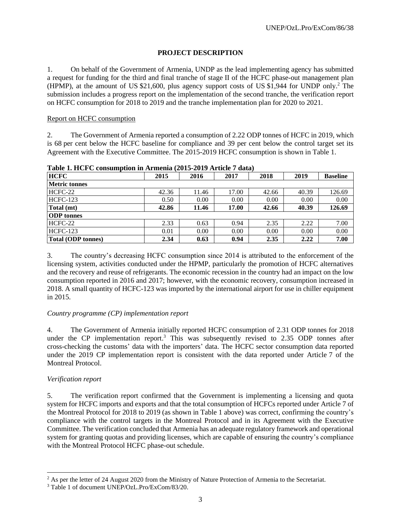# **PROJECT DESCRIPTION**

1. On behalf of the Government of Armenia, UNDP as the lead implementing agency has submitted a request for funding for the third and final tranche of stage II of the HCFC phase-out management plan (HPMP), at the amount of US \$21,600, plus agency support costs of US \$1,944 for UNDP only. <sup>2</sup> The submission includes a progress report on the implementation of the second tranche, the verification report on HCFC consumption for 2018 to 2019 and the tranche implementation plan for 2020 to 2021.

# Report on HCFC consumption

2. The Government of Armenia reported a consumption of 2.22 ODP tonnes of HCFC in 2019, which is 68 per cent below the HCFC baseline for compliance and 39 per cent below the control target set its Agreement with the Executive Committee. The 2015-2019 HCFC consumption is shown in Table 1.

| <b>HCFC</b>               | 2015  | 2016  | 2017  | 2018  | 2019  | <b>Baseline</b> |
|---------------------------|-------|-------|-------|-------|-------|-----------------|
| <b>Metric tonnes</b>      |       |       |       |       |       |                 |
| HCFC-22                   | 42.36 | 11.46 | 17.00 | 42.66 | 40.39 | 126.69          |
| $HCFC-123$                | 0.50  | 0.00  | 0.00  | 0.00  | 0.00  | 0.00            |
| Total (mt)                | 42.86 | 11.46 | 17.00 | 42.66 | 40.39 | 126.69          |
| <b>ODP</b> tonnes         |       |       |       |       |       |                 |
| HCFC-22                   | 2.33  | 0.63  | 0.94  | 2.35  | 2.22  | 7.00            |
| <b>HCFC-123</b>           | 0.01  | 0.00  | 0.00  | 0.00  | 0.00  | 0.00            |
| <b>Total (ODP tonnes)</b> | 2.34  | 0.63  | 0.94  | 2.35  | 2.22  | 7.00            |

**Table 1. HCFC consumption in Armenia (2015-2019 Article 7 data)**

3. The country's decreasing HCFC consumption since 2014 is attributed to the enforcement of the licensing system, activities conducted under the HPMP, particularly the promotion of HCFC alternatives and the recovery and reuse of refrigerants. The economic recession in the country had an impact on the low consumption reported in 2016 and 2017; however, with the economic recovery, consumption increased in 2018. A small quantity of HCFC-123 was imported by the international airport for use in chiller equipment in 2015.

# *Country programme (CP) implementation report*

4. The Government of Armenia initially reported HCFC consumption of 2.31 ODP tonnes for 2018 under the CP implementation report.<sup>3</sup> This was subsequently revised to 2.35 ODP tonnes after cross-checking the customs' data with the importers' data. The HCFC sector consumption data reported under the 2019 CP implementation report is consistent with the data reported under Article 7 of the Montreal Protocol.

# *Verification report*

5. The verification report confirmed that the Government is implementing a licensing and quota system for HCFC imports and exports and that the total consumption of HCFCs reported under Article 7 of the Montreal Protocol for 2018 to 2019 (as shown in Table 1 above) was correct, confirming the country's compliance with the control targets in the Montreal Protocol and in its Agreement with the Executive Committee. The verification concluded that Armenia has an adequate regulatory framework and operational system for granting quotas and providing licenses, which are capable of ensuring the country's compliance with the Montreal Protocol HCFC phase-out schedule.

<sup>&</sup>lt;sup>2</sup> As per the letter of 24 August 2020 from the Ministry of Nature Protection of Armenia to the Secretariat.

<sup>3</sup> Table 1 of document UNEP/OzL.Pro/ExCom/83/20.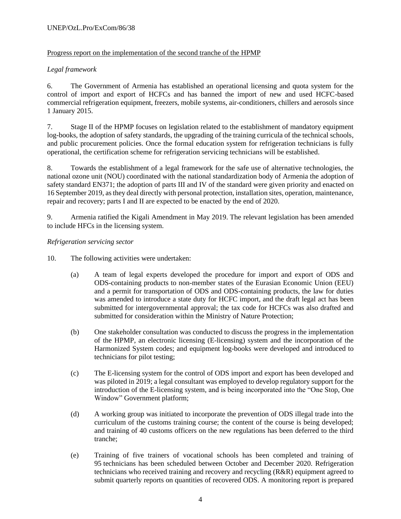## UNEP/OzL.Pro/ExCom/86/38

# Progress report on the implementation of the second tranche of the HPMP

# *Legal framework*

6. The Government of Armenia has established an operational licensing and quota system for the control of import and export of HCFCs and has banned the import of new and used HCFC-based commercial refrigeration equipment, freezers, mobile systems, air-conditioners, chillers and aerosols since 1 January 2015.

7. Stage II of the HPMP focuses on legislation related to the establishment of mandatory equipment log-books, the adoption of safety standards, the upgrading of the training curricula of the technical schools, and public procurement policies. Once the formal education system for refrigeration technicians is fully operational, the certification scheme for refrigeration servicing technicians will be established.

8. Towards the establishment of a legal framework for the safe use of alternative technologies, the national ozone unit (NOU) coordinated with the national standardization body of Armenia the adoption of safety standard EN371; the adoption of parts III and IV of the standard were given priority and enacted on 16 September 2019, asthey deal directly with personal protection, installation sites, operation, maintenance, repair and recovery; parts I and II are expected to be enacted by the end of 2020.

9. Armenia ratified the Kigali Amendment in May 2019. The relevant legislation has been amended to include HFCs in the licensing system.

## *Refrigeration servicing sector*

- 10. The following activities were undertaken:
	- (a) A team of legal experts developed the procedure for import and export of ODS and ODS-containing products to non-member states of the Eurasian Economic Union (EEU) and a permit for transportation of ODS and ODS-containing products, the law for duties was amended to introduce a state duty for HCFC import, and the draft legal act has been submitted for intergovernmental approval; the tax code for HCFCs was also drafted and submitted for consideration within the Ministry of Nature Protection;
	- (b) One stakeholder consultation was conducted to discuss the progress in the implementation of the HPMP, an electronic licensing (E-licensing) system and the incorporation of the Harmonized System codes; and equipment log-books were developed and introduced to technicians for pilot testing;
	- (c) The E-licensing system for the control of ODS import and export has been developed and was piloted in 2019; a legal consultant was employed to develop regulatory support for the introduction of the E-licensing system, and is being incorporated into the "One Stop, One Window" Government platform;
	- (d) A working group was initiated to incorporate the prevention of ODS illegal trade into the curriculum of the customs training course; the content of the course is being developed; and training of 40 customs officers on the new regulations has been deferred to the third tranche;
	- (e) Training of five trainers of vocational schools has been completed and training of 95 technicians has been scheduled between October and December 2020. Refrigeration technicians who received training and recovery and recycling (R&R) equipment agreed to submit quarterly reports on quantities of recovered ODS. A monitoring report is prepared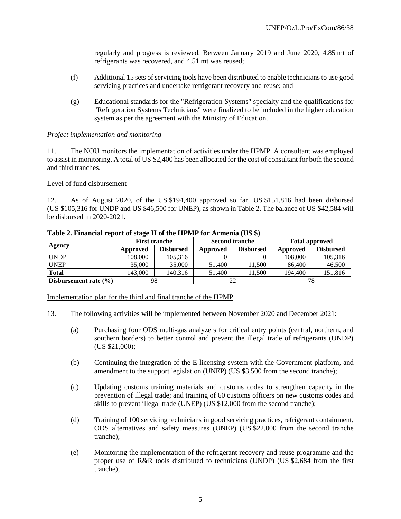regularly and progress is reviewed. Between January 2019 and June 2020, 4.85 mt of refrigerants was recovered, and 4.51 mt was reused;

- (f) Additional 15 sets of servicing tools have been distributed to enable technicians to use good servicing practices and undertake refrigerant recovery and reuse; and
- (g) Educational standards for the "Refrigeration Systems" specialty and the qualifications for "Refrigeration Systems Technicians" were finalized to be included in the higher education system as per the agreement with the Ministry of Education.

#### *Project implementation and monitoring*

11. The NOU monitors the implementation of activities under the HPMP. A consultant was employed to assist in monitoring. A total of US \$2,400 has been allocated for the cost of consultant for both the second and third tranches.

#### Level of fund disbursement

12. As of August 2020, of the US \$194,400 approved so far, US \$151,816 had been disbursed (US \$105,316 for UNDP and US \$46,500 for UNEP), as shown in Table 2. The balance of US \$42,584 will be disbursed in 2020-2021.

|                           |          | <b>First tranche</b> |          | <b>Second tranche</b> | <b>Total approved</b> |                  |  |
|---------------------------|----------|----------------------|----------|-----------------------|-----------------------|------------------|--|
| Agency                    | Approved | <b>Disbursed</b>     | Approved | <b>Disbursed</b>      | Approved              | <b>Disbursed</b> |  |
| <b>UNDP</b>               | 108,000  | 105.316              |          |                       | 108,000               | 105,316          |  |
| <b>UNEP</b>               | 35,000   | 35,000               | 51,400   | 11,500                | 86,400                | 46,500           |  |
| <b>Total</b>              | 143.000  | 140.316              | 51,400   | 1.500                 | 194.400               | 151,816          |  |
| Disbursement rate $(\% )$ | 98       |                      |          | 22                    | 78                    |                  |  |

#### **Table 2. Financial report of stage II of the HPMP for Armenia (US \$)**

Implementation plan for the third and final tranche of the HPMP

13. The following activities will be implemented between November 2020 and December 2021:

- (a) Purchasing four ODS multi-gas analyzers for critical entry points (central, northern, and southern borders) to better control and prevent the illegal trade of refrigerants (UNDP) (US \$21,000);
- (b) Continuing the integration of the E-licensing system with the Government platform, and amendment to the support legislation (UNEP) (US \$3,500 from the second tranche);
- (c) Updating customs training materials and customs codes to strengthen capacity in the prevention of illegal trade; and training of 60 customs officers on new customs codes and skills to prevent illegal trade (UNEP) (US \$12,000 from the second tranche);
- (d) Training of 100 servicing technicians in good servicing practices, refrigerant containment, ODS alternatives and safety measures (UNEP) (US \$22,000 from the second tranche tranche);
- (e) Monitoring the implementation of the refrigerant recovery and reuse programme and the proper use of R&R tools distributed to technicians (UNDP) (US \$2,684 from the first tranche);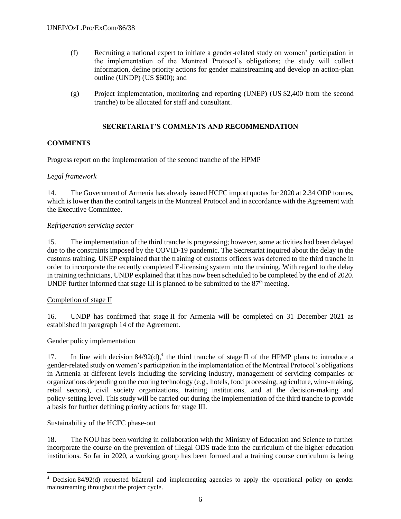- (f) Recruiting a national expert to initiate a gender-related study on women' participation in the implementation of the Montreal Protocol's obligations; the study will collect information, define priority actions for gender mainstreaming and develop an action-plan outline (UNDP) (US \$600); and
- (g) Project implementation, monitoring and reporting (UNEP) (US \$2,400 from the second tranche) to be allocated for staff and consultant.

# **SECRETARIAT'S COMMENTS AND RECOMMENDATION**

# **COMMENTS**

# Progress report on the implementation of the second tranche of the HPMP

# *Legal framework*

14. The Government of Armenia has already issued HCFC import quotas for 2020 at 2.34 ODP tonnes, which is lower than the control targets in the Montreal Protocol and in accordance with the Agreement with the Executive Committee.

# *Refrigeration servicing sector*

15. The implementation of the third tranche is progressing; however, some activities had been delayed due to the constraints imposed by the COVID-19 pandemic. The Secretariat inquired about the delay in the customs training. UNEP explained that the training of customs officers was deferred to the third tranche in order to incorporate the recently completed E-licensing system into the training. With regard to the delay in training technicians, UNDP explained that it has now been scheduled to be completed by the end of 2020. UNDP further informed that stage III is planned to be submitted to the  $87<sup>th</sup>$  meeting.

## Completion of stage II

16. UNDP has confirmed that stage II for Armenia will be completed on 31 December 2021 as established in paragraph 14 of the Agreement.

# Gender policy implementation

17. In line with decision 84/92(d),<sup>4</sup> the third tranche of stage II of the HPMP plans to introduce a gender-related study on women's participation in the implementation of the Montreal Protocol's obligations in Armenia at different levels including the servicing industry, management of servicing companies or organizations depending on the cooling technology (e.g., hotels, food processing, agriculture, wine-making, retail sectors), civil society organizations, training institutions, and at the decision-making and policy-setting level. This study will be carried out during the implementation of the third tranche to provide a basis for further defining priority actions for stage III.

## Sustainability of the HCFC phase-out

18. The NOU has been working in collaboration with the Ministry of Education and Science to further incorporate the course on the prevention of illegal ODS trade into the curriculum of the higher education institutions. So far in 2020, a working group has been formed and a training course curriculum is being

<sup>4</sup> Decision 84/92(d) requested bilateral and implementing agencies to apply the operational policy on gender mainstreaming throughout the project cycle.